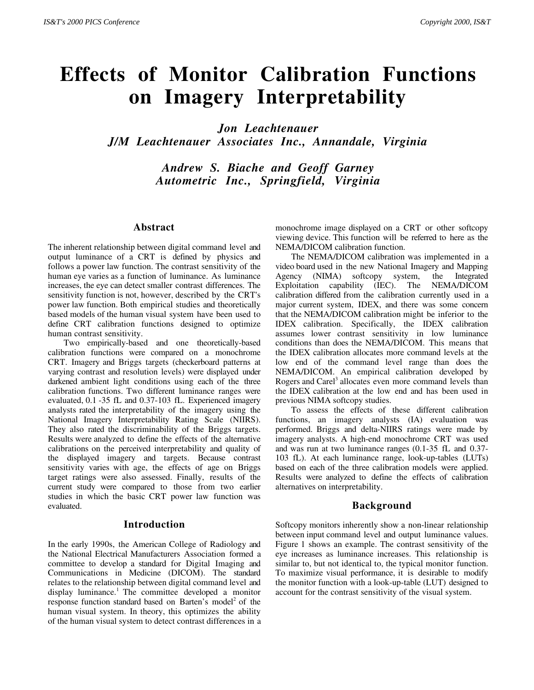# **Effects of Monitor Calibration Functions on Imagery Interpretability**

*Jon Leachtenauer*

*J/M Leachtenauer Associates Inc., Annandale, Virginia*

*Andrew S. Biache and Geoff Garney Autometric Inc., Springfield, Virginia*

## **Abstract**

The inherent relationship between digital command level and output luminance of a CRT is defined by physics and follows a power law function. The contrast sensitivity of the human eye varies as a function of luminance. As luminance increases, the eye can detect smaller contrast differences. The sensitivity function is not, however, described by the CRT's power law function. Both empirical studies and theoretically based models of the human visual system have been used to define CRT calibration functions designed to optimize human contrast sensitivity.

Two empirically-based and one theoretically-based calibration functions were compared on a monochrome CRT. Imagery and Briggs targets (checkerboard patterns at varying contrast and resolution levels) were displayed under darkened ambient light conditions using each of the three calibration functions. Two different luminance ranges were evaluated, 0.1 -35 fL and 0.37-103 fL. Experienced imagery analysts rated the interpretability of the imagery using the National Imagery Interpretability Rating Scale (NIIRS). They also rated the discriminability of the Briggs targets. Results were analyzed to define the effects of the alternative calibrations on the perceived interpretability and quality of the displayed imagery and targets. Because contrast sensitivity varies with age, the effects of age on Briggs target ratings were also assessed. Finally, results of the current study were compared to those from two earlier studies in which the basic CRT power law function was evaluated.

#### **Introduction**

In the early 1990s, the American College of Radiology and the National Electrical Manufacturers Association formed a committee to develop a standard for Digital Imaging and Communications in Medicine (DICOM). The standard relates to the relationship between digital command level and display luminance.1 The committee developed a monitor response function standard based on Barten's model<sup>2</sup> of the human visual system. In theory, this optimizes the ability of the human visual system to detect contrast differences in a monochrome image displayed on a CRT or other softcopy viewing device. This function will be referred to here as the NEMA/DICOM calibration function.

The NEMA/DICOM calibration was implemented in a video board used in the new National Imagery and Mapping Agency (NIMA) softcopy system, the Integrated Exploitation capability (IEC). The NEMA/DICOM calibration differed from the calibration currently used in a major current system, IDEX, and there was some concern that the NEMA/DICOM calibration might be inferior to the IDEX calibration. Specifically, the IDEX calibration assumes lower contrast sensitivity in low luminance conditions than does the NEMA/DICOM. This means that the IDEX calibration allocates more command levels at the low end of the command level range than does the NEMA/DICOM. An empirical calibration developed by Rogers and Carel<sup>3</sup> allocates even more command levels than the IDEX calibration at the low end and has been used in previous NIMA softcopy studies.

To assess the effects of these different calibration functions, an imagery analysts (IA) evaluation was performed. Briggs and delta-NIIRS ratings were made by imagery analysts. A high-end monochrome CRT was used and was run at two luminance ranges (0.1-35 fL and 0.37- 103 fL). At each luminance range, look-up-tables (LUTs) based on each of the three calibration models were applied. Results were analyzed to define the effects of calibration alternatives on interpretability.

# **Background**

Softcopy monitors inherently show a non-linear relationship between input command level and output luminance values. Figure 1 shows an example. The contrast sensitivity of the eye increases as luminance increases. This relationship is similar to, but not identical to, the typical monitor function. To maximize visual performance, it is desirable to modify the monitor function with a look-up-table (LUT) designed to account for the contrast sensitivity of the visual system.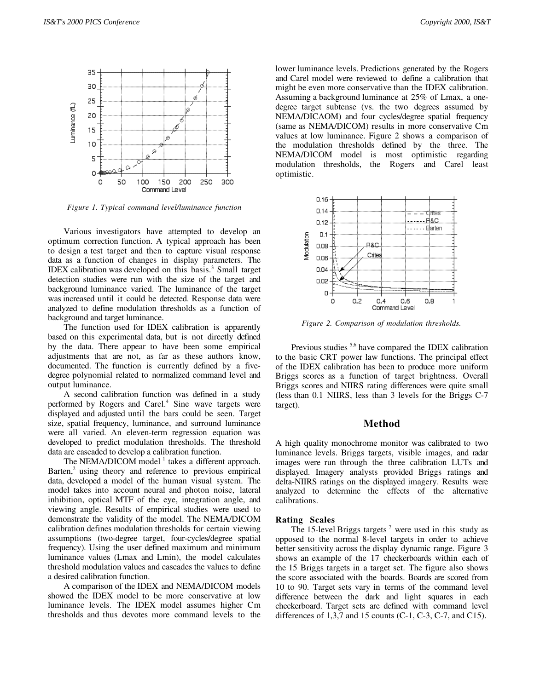

*Figure 1. Typical command level/luminance function*

Various investigators have attempted to develop an optimum correction function. A typical approach has been to design a test target and then to capture visual response data as a function of changes in display parameters. The IDEX calibration was developed on this basis.<sup>3</sup> Small target detection studies were run with the size of the target and background luminance varied. The luminance of the target was increased until it could be detected. Response data were analyzed to define modulation thresholds as a function of background and target luminance.

The function used for IDEX calibration is apparently based on this experimental data, but is not directly defined by the data. There appear to have been some empirical adjustments that are not, as far as these authors know, documented. The function is currently defined by a fivedegree polynomial related to normalized command level and output luminance.

A second calibration function was defined in a study performed by Rogers and Carel.<sup>4</sup> Sine wave targets were displayed and adjusted until the bars could be seen. Target size, spatial frequency, luminance, and surround luminance were all varied. An eleven-term regression equation was developed to predict modulation thresholds. The threshold data are cascaded to develop a calibration function.

The NEMA/DICOM model<sup>1</sup> takes a different approach. Barten,<sup>2</sup> using theory and reference to previous empirical data, developed a model of the human visual system. The model takes into account neural and photon noise, lateral inhibition, optical MTF of the eye, integration angle, and viewing angle. Results of empirical studies were used to demonstrate the validity of the model. The NEMA/DICOM calibration defines modulation thresholds for certain viewing assumptions (two-degree target, four-cycles/degree spatial frequency). Using the user defined maximum and minimum luminance values (Lmax and Lmin), the model calculates threshold modulation values and cascades the values to define a desired calibration function.

A comparison of the IDEX and NEMA/DICOM models showed the IDEX model to be more conservative at low luminance levels. The IDEX model assumes higher Cm thresholds and thus devotes more command levels to the lower luminance levels. Predictions generated by the Rogers and Carel model were reviewed to define a calibration that might be even more conservative than the IDEX calibration. Assuming a background luminance at 25% of Lmax, a onedegree target subtense (vs. the two degrees assumed by NEMA/DICAOM) and four cycles/degree spatial frequency (same as NEMA/DICOM) results in more conservative Cm values at low luminance. Figure 2 shows a comparison of the modulation thresholds defined by the three. The NEMA/DICOM model is most optimistic regarding modulation thresholds, the Rogers and Carel least optimistic.



*Figure 2. Comparison of modulation thresholds.*

Previous studies <sup>5,6</sup> have compared the IDEX calibration to the basic CRT power law functions. The principal effect of the IDEX calibration has been to produce more uniform Briggs scores as a function of target brightness. Overall Briggs scores and NIIRS rating differences were quite small (less than 0.1 NIIRS, less than 3 levels for the Briggs C-7 target).

#### **Method**

A high quality monochrome monitor was calibrated to two luminance levels. Briggs targets, visible images, and radar images were run through the three calibration LUTs and displayed. Imagery analysts provided Briggs ratings and delta-NIIRS ratings on the displayed imagery. Results were analyzed to determine the effects of the alternative calibrations.

#### **Rating Scales**

The 15-level Briggs targets<sup>7</sup> were used in this study as opposed to the normal 8-level targets in order to achieve better sensitivity across the display dynamic range. Figure 3 shows an example of the 17 checkerboards within each of the 15 Briggs targets in a target set. The figure also shows the score associated with the boards. Boards are scored from 10 to 90. Target sets vary in terms of the command level difference between the dark and light squares in each checkerboard. Target sets are defined with command level differences of  $1,3,7$  and  $15$  counts (C-1, C-3, C-7, and C15).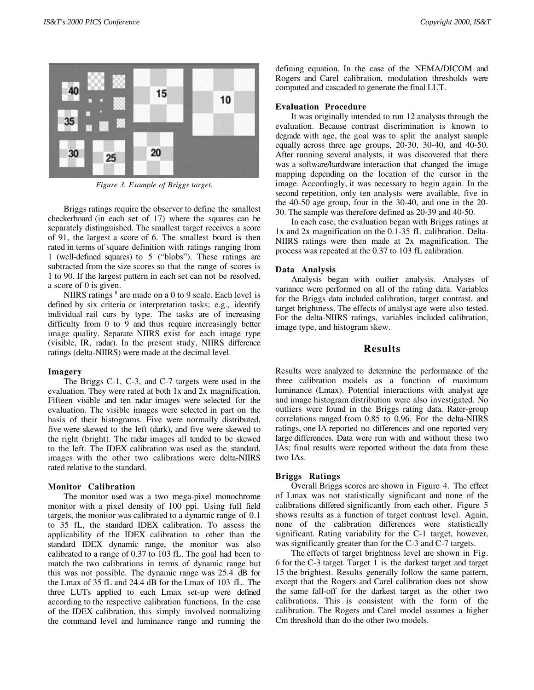

*Figure 3. Example of Briggs target.*

Briggs ratings require the observer to define the smallest checkerboard (in each set of 17) where the squares can be separately distinguished. The smallest target receives a score of 91, the largest a score of 6. The smallest board is then rated in terms of square definition with ratings ranging from 1 (well-defined squares) to 5 ("blobs"). These ratings are subtracted from the size scores so that the range of scores is 1 to 90. If the largest pattern in each set can not be resolved, a score of 0 is given.

NIIRS ratings  $8$  are made on a 0 to 9 scale. Each level is defined by six criteria or interpretation tasks; e.g., identify individual rail cars by type. The tasks are of increasing difficulty from 0 to 9 and thus require increasingly better image quality. Separate NIIRS exist for each image type (visible, IR, radar). In the present study, NIIRS difference ratings (delta-NIIRS) were made at the decimal level.

#### **Imagery**

The Briggs C-1, C-3, and C-7 targets were used in the evaluation. They were rated at both 1x and 2x magnification. Fifteen visible and ten radar images were selected for the evaluation. The visible images were selected in part on the basis of their histograms. Five were normally distributed, five were skewed to the left (dark), and five were skewed to the right (bright). The radar images all tended to be skewed to the left. The IDEX calibration was used as the standard, images with the other two calibrations were delta-NIIRS rated relative to the standard.

#### **Monitor Calibration**

The monitor used was a two mega-pixel monochrome monitor with a pixel density of 100 ppi. Using full field targets, the monitor was calibrated to a dynamic range of 0.1 to 35 fL, the standard IDEX calibration. To assess the applicability of the IDEX calibration to other than the standard IDEX dynamic range, the monitor was also calibrated to a range of 0.37 to 103 fL. The goal had been to match the two calibrations in terms of dynamic range but this was not possible. The dynamic range was 25.4 dB for the Lmax of 35 fL and 24.4 dB for the Lmax of 103 fL. The three LUTs applied to each Lmax set-up were defined according to the respective calibration functions. In the case of the IDEX calibration, this simply involved normalizing the command level and luminance range and running the defining equation. In the case of the NEMA/DICOM and Rogers and Carel calibration, modulation thresholds were computed and cascaded to generate the final LUT.

#### **Evaluation Procedure**

It was originally intended to run 12 analysts through the evaluation. Because contrast discrimination is known to degrade with age, the goal was to split the analyst sample equally across three age groups, 20-30, 30-40, and 40-50. After running several analysts, it was discovered that there was a software/hardware interaction that changed the image mapping depending on the location of the cursor in the image. Accordingly, it was necessary to begin again. In the second repetition, only ten analysts were available, five in the 40-50 age group, four in the 30-40, and one in the 20- 30. The sample was therefore defined as 20-39 and 40-50.

In each case, the evaluation began with Briggs ratings at 1x and 2x magnification on the 0.1-35 fL calibration. Delta-NIIRS ratings were then made at 2x magnification. The process was repeated at the 0.37 to 103 fL calibration.

#### **Data Analysis**

Analysis began with outlier analysis. Analyses of variance were performed on all of the rating data. Variables for the Briggs data included calibration, target contrast, and target brightness. The effects of analyst age were also tested. For the delta-NIIRS ratings, variables included calibration, image type, and histogram skew.

#### **Results**

Results were analyzed to determine the performance of the three calibration models as a function of maximum luminance (Lmax). Potential interactions with analyst age and image histogram distribution were also investigated. No outliers were found in the Briggs rating data. Rater-group correlations ranged from 0.85 to 0.96. For the delta-NIIRS ratings, one IA reported no differences and one reported very large differences. Data were run with and without these two IAs; final results were reported without the data from these two IAs.

#### **Briggs Ratings**

Overall Briggs scores are shown in Figure 4. The effect of Lmax was not statistically significant and none of the calibrations differed significantly from each other. Figure 5 shows results as a function of target contrast level. Again, none of the calibration differences were statistically significant. Rating variability for the C-1 target, however, was significantly greater than for the C-3 and C-7 targets.

The effects of target brightness level are shown in Fig. 6 for the C-3 target. Target 1 is the darkest target and target 15 the brightest. Results generally follow the same pattern, except that the Rogers and Carel calibration does not show the same fall-off for the darkest target as the other two calibrations. This is consistent with the form of the calibration. The Rogers and Carel model assumes a higher Cm threshold than do the other two models.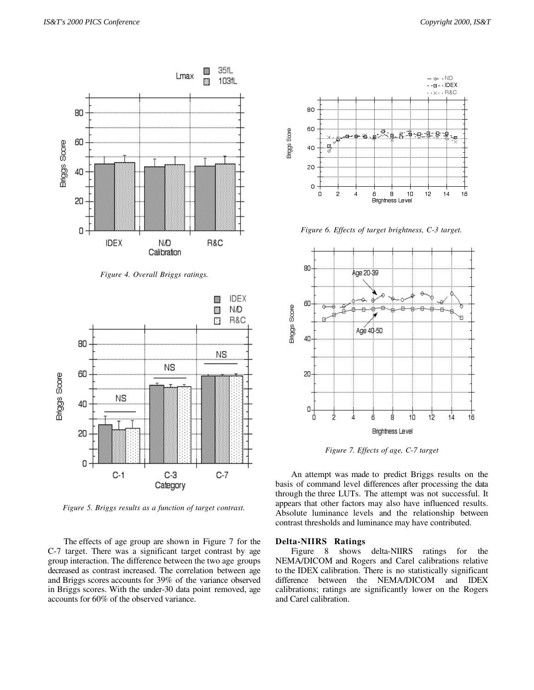

*Figure 4. Overall Briggs ratings.*



*Figure 5. Briggs results as a function of target contrast.*

The effects of age group are shown in Figure 7 for the C-7 target. There was a significant target contrast by age group interaction. The difference between the two age groups decreased as contrast increased. The correlation between age and Briggs scores accounts for 39% of the variance observed in Briggs scores. With the under-30 data point removed, age accounts for 60% of the observed variance.



*Figure 6. Effects of target brightness, C-3 target.*



*Figure 7. Effects of age, C-7 target*

An attempt was made to predict Briggs results on the basis of command level differences after processing the data through the three LUTs. The attempt was not successful. It appears that other factors may also have influenced results. Absolute luminance levels and the relationship between contrast thresholds and luminance may have contributed.

#### **Delta-NIIRS Ratings**

Figure 8 shows delta-NIIRS ratings for the NEMA/DICOM and Rogers and Carel calibrations relative to the IDEX calibration. There is no statistically significant difference between the NEMA/DICOM and IDEX calibrations; ratings are significantly lower on the Rogers and Carel calibration.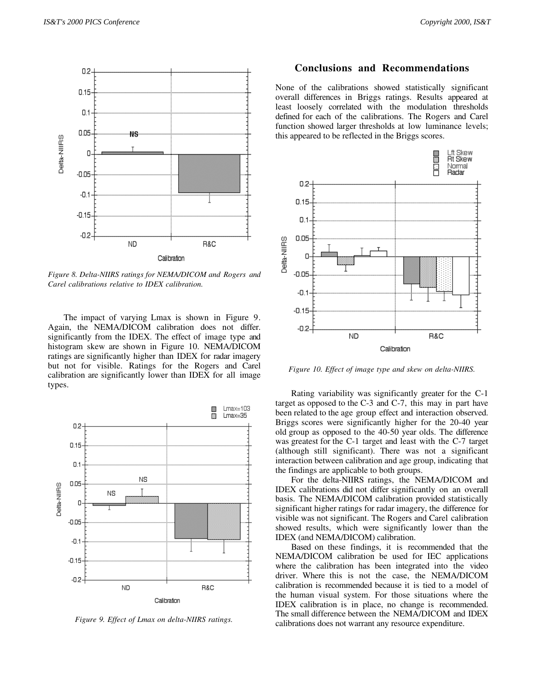

*Figure 8. Delta-NIIRS ratings for NEMA/DICOM and Rogers and Carel calibrations relative to IDEX calibration.*

The impact of varying Lmax is shown in Figure 9. Again, the NEMA/DICOM calibration does not differ. significantly from the IDEX. The effect of image type and histogram skew are shown in Figure 10. NEMA/DICOM ratings are significantly higher than IDEX for radar imagery but not for visible. Ratings for the Rogers and Carel calibration are significantly lower than IDEX for all image types.



*Figure 9. Effect of Lmax on delta-NIIRS ratings.*

# **Conclusions and Recommendations**

None of the calibrations showed statistically significant overall differences in Briggs ratings. Results appeared at least loosely correlated with the modulation thresholds defined for each of the calibrations. The Rogers and Carel function showed larger thresholds at low luminance levels; this appeared to be reflected in the Briggs scores.



*Figure 10. Effect of image type and skew on delta-NIIRS.*

Rating variability was significantly greater for the C-1 target as opposed to the C-3 and C-7, this may in part have been related to the age group effect and interaction observed. Briggs scores were significantly higher for the 20-40 year old group as opposed to the 40-50 year olds. The difference was greatest for the C-1 target and least with the C-7 target (although still significant). There was not a significant interaction between calibration and age group, indicating that the findings are applicable to both groups.

For the delta-NIIRS ratings, the NEMA/DICOM and IDEX calibrations did not differ significantly on an overall basis. The NEMA/DICOM calibration provided statistically significant higher ratings for radar imagery, the difference for visible was not significant. The Rogers and Carel calibration showed results, which were significantly lower than the IDEX (and NEMA/DICOM) calibration.

Based on these findings, it is recommended that the NEMA/DICOM calibration be used for IEC applications where the calibration has been integrated into the video driver. Where this is not the case, the NEMA/DICOM calibration is recommended because it is tied to a model of the human visual system. For those situations where the IDEX calibration is in place, no change is recommended. The small difference between the NEMA/DICOM and IDEX calibrations does not warrant any resource expenditure.